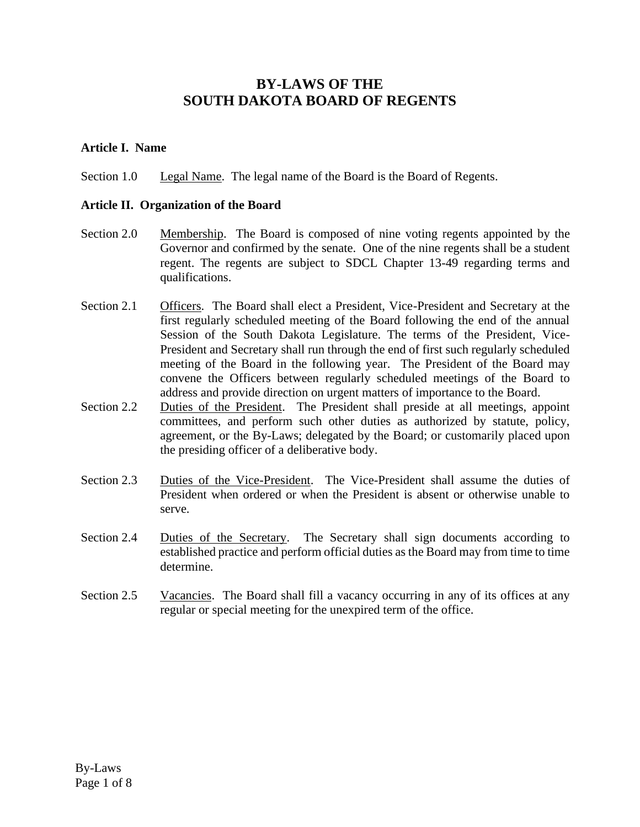# **BY-LAWS OF THE SOUTH DAKOTA BOARD OF REGENTS**

#### **Article I. Name**

Section 1.0 Legal Name. The legal name of the Board is the Board of Regents.

#### **Article II. Organization of the Board**

- Section 2.0 Membership. The Board is composed of nine voting regents appointed by the Governor and confirmed by the senate. One of the nine regents shall be a student regent. The regents are subject to SDCL Chapter 13-49 regarding terms and qualifications.
- Section 2.1 Officers. The Board shall elect a President, Vice-President and Secretary at the first regularly scheduled meeting of the Board following the end of the annual Session of the South Dakota Legislature. The terms of the President, Vice-President and Secretary shall run through the end of first such regularly scheduled meeting of the Board in the following year. The President of the Board may convene the Officers between regularly scheduled meetings of the Board to address and provide direction on urgent matters of importance to the Board.
- Section 2.2 Duties of the President. The President shall preside at all meetings, appoint committees, and perform such other duties as authorized by statute, policy, agreement, or the By-Laws; delegated by the Board; or customarily placed upon the presiding officer of a deliberative body.
- Section 2.3 Duties of the Vice-President. The Vice-President shall assume the duties of President when ordered or when the President is absent or otherwise unable to serve.
- Section 2.4 Duties of the Secretary. The Secretary shall sign documents according to established practice and perform official duties as the Board may from time to time determine.
- Section 2.5 Vacancies. The Board shall fill a vacancy occurring in any of its offices at any regular or special meeting for the unexpired term of the office.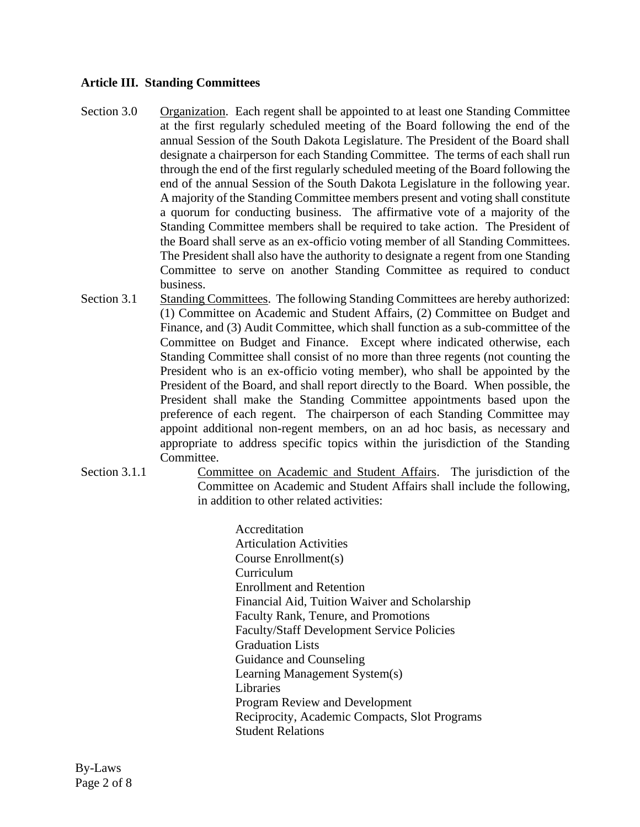### **Article III. Standing Committees**

- Section 3.0 Organization. Each regent shall be appointed to at least one Standing Committee at the first regularly scheduled meeting of the Board following the end of the annual Session of the South Dakota Legislature. The President of the Board shall designate a chairperson for each Standing Committee. The terms of each shall run through the end of the first regularly scheduled meeting of the Board following the end of the annual Session of the South Dakota Legislature in the following year. A majority of the Standing Committee members present and voting shall constitute a quorum for conducting business. The affirmative vote of a majority of the Standing Committee members shall be required to take action. The President of the Board shall serve as an ex-officio voting member of all Standing Committees. The President shall also have the authority to designate a regent from one Standing Committee to serve on another Standing Committee as required to conduct business.
- Section 3.1 Standing Committees. The following Standing Committees are hereby authorized: (1) Committee on Academic and Student Affairs, (2) Committee on Budget and Finance, and (3) Audit Committee, which shall function as a sub-committee of the Committee on Budget and Finance. Except where indicated otherwise, each Standing Committee shall consist of no more than three regents (not counting the President who is an ex-officio voting member), who shall be appointed by the President of the Board, and shall report directly to the Board. When possible, the President shall make the Standing Committee appointments based upon the preference of each regent. The chairperson of each Standing Committee may appoint additional non-regent members, on an ad hoc basis, as necessary and appropriate to address specific topics within the jurisdiction of the Standing Committee.
- Section 3.1.1 Committee on Academic and Student Affairs. The jurisdiction of the Committee on Academic and Student Affairs shall include the following, in addition to other related activities:

Accreditation Articulation Activities Course Enrollment(s) Curriculum Enrollment and Retention Financial Aid, Tuition Waiver and Scholarship Faculty Rank, Tenure, and Promotions Faculty/Staff Development Service Policies Graduation Lists Guidance and Counseling Learning Management System(s) Libraries Program Review and Development Reciprocity, Academic Compacts, Slot Programs Student Relations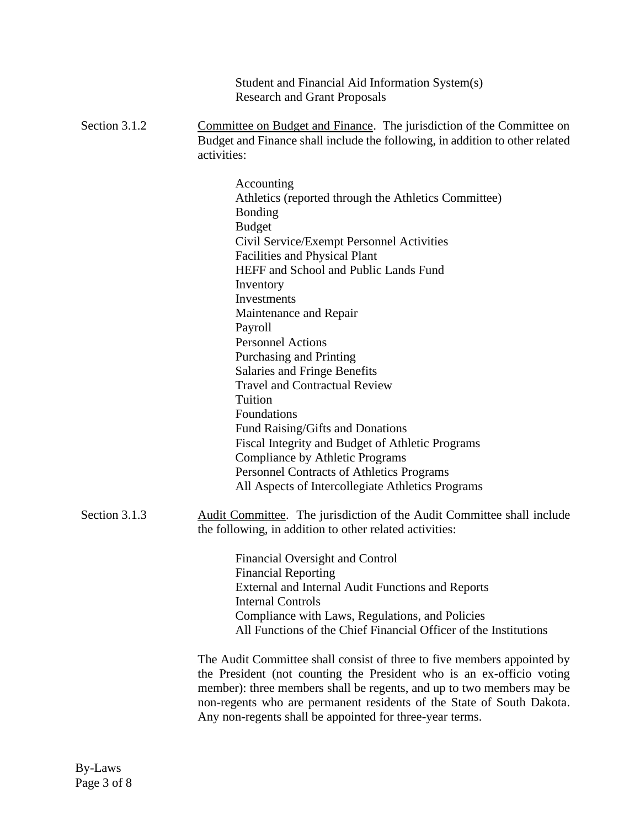|               | Student and Financial Aid Information System(s)<br><b>Research and Grant Proposals</b>                                                                                                                                                                                                                                                                                                                                                                                                                                                                                                                                                                                                                                 |
|---------------|------------------------------------------------------------------------------------------------------------------------------------------------------------------------------------------------------------------------------------------------------------------------------------------------------------------------------------------------------------------------------------------------------------------------------------------------------------------------------------------------------------------------------------------------------------------------------------------------------------------------------------------------------------------------------------------------------------------------|
| Section 3.1.2 | Committee on Budget and Finance. The jurisdiction of the Committee on<br>Budget and Finance shall include the following, in addition to other related<br>activities:                                                                                                                                                                                                                                                                                                                                                                                                                                                                                                                                                   |
|               | Accounting<br>Athletics (reported through the Athletics Committee)<br><b>Bonding</b><br><b>Budget</b><br>Civil Service/Exempt Personnel Activities<br><b>Facilities and Physical Plant</b><br>HEFF and School and Public Lands Fund<br>Inventory<br><b>Investments</b><br>Maintenance and Repair<br>Payroll<br><b>Personnel Actions</b><br>Purchasing and Printing<br><b>Salaries and Fringe Benefits</b><br><b>Travel and Contractual Review</b><br>Tuition<br>Foundations<br>Fund Raising/Gifts and Donations<br>Fiscal Integrity and Budget of Athletic Programs<br><b>Compliance by Athletic Programs</b><br><b>Personnel Contracts of Athletics Programs</b><br>All Aspects of Intercollegiate Athletics Programs |
| Section 3.1.3 | Audit Committee. The jurisdiction of the Audit Committee shall include<br>the following, in addition to other related activities:                                                                                                                                                                                                                                                                                                                                                                                                                                                                                                                                                                                      |
|               | Financial Oversight and Control<br><b>Financial Reporting</b><br>External and Internal Audit Functions and Reports<br><b>Internal Controls</b><br>Compliance with Laws, Regulations, and Policies<br>All Functions of the Chief Financial Officer of the Institutions                                                                                                                                                                                                                                                                                                                                                                                                                                                  |
|               | The Audit Committee shall consist of three to five members appointed by<br>the President (not counting the President who is an ex-officio voting<br>member): three members shall be regents, and up to two members may be<br>non-regents who are permanent residents of the State of South Dakota.<br>Any non-regents shall be appointed for three-year terms.                                                                                                                                                                                                                                                                                                                                                         |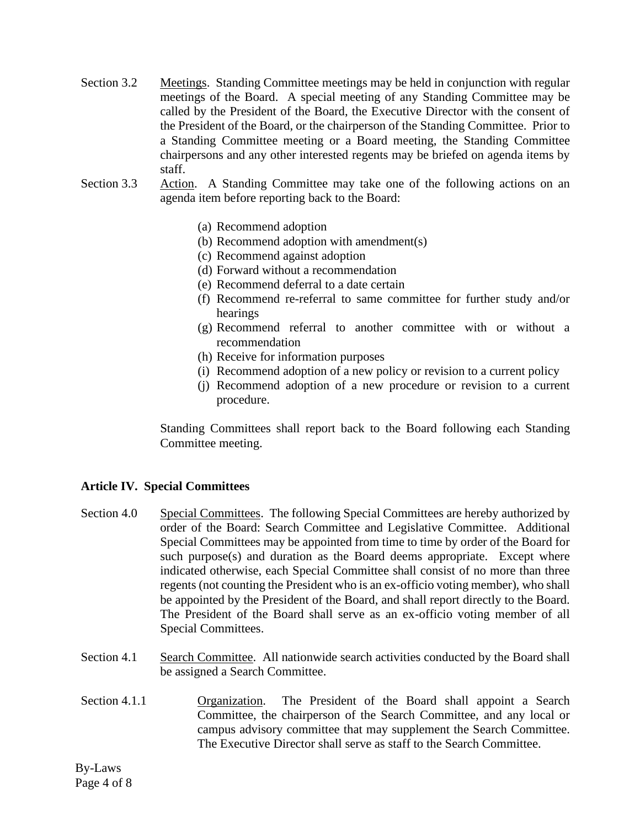- Section 3.2 Meetings. Standing Committee meetings may be held in conjunction with regular meetings of the Board. A special meeting of any Standing Committee may be called by the President of the Board, the Executive Director with the consent of the President of the Board, or the chairperson of the Standing Committee. Prior to a Standing Committee meeting or a Board meeting, the Standing Committee chairpersons and any other interested regents may be briefed on agenda items by staff.
- Section 3.3 Action. A Standing Committee may take one of the following actions on an agenda item before reporting back to the Board:
	- (a) Recommend adoption
	- (b) Recommend adoption with amendment(s)
	- (c) Recommend against adoption
	- (d) Forward without a recommendation
	- (e) Recommend deferral to a date certain
	- (f) Recommend re-referral to same committee for further study and/or hearings
	- (g) Recommend referral to another committee with or without a recommendation
	- (h) Receive for information purposes
	- (i) Recommend adoption of a new policy or revision to a current policy
	- (j) Recommend adoption of a new procedure or revision to a current procedure.

Standing Committees shall report back to the Board following each Standing Committee meeting.

## **Article IV. Special Committees**

- Section 4.0 Special Committees. The following Special Committees are hereby authorized by order of the Board: Search Committee and Legislative Committee. Additional Special Committees may be appointed from time to time by order of the Board for such purpose(s) and duration as the Board deems appropriate. Except where indicated otherwise, each Special Committee shall consist of no more than three regents (not counting the President who is an ex-officio voting member), who shall be appointed by the President of the Board, and shall report directly to the Board. The President of the Board shall serve as an ex-officio voting member of all Special Committees.
- Section 4.1 Search Committee. All nationwide search activities conducted by the Board shall be assigned a Search Committee.
- Section 4.1.1 **Organization.** The President of the Board shall appoint a Search Committee, the chairperson of the Search Committee, and any local or campus advisory committee that may supplement the Search Committee. The Executive Director shall serve as staff to the Search Committee.

By-Laws Page 4 of 8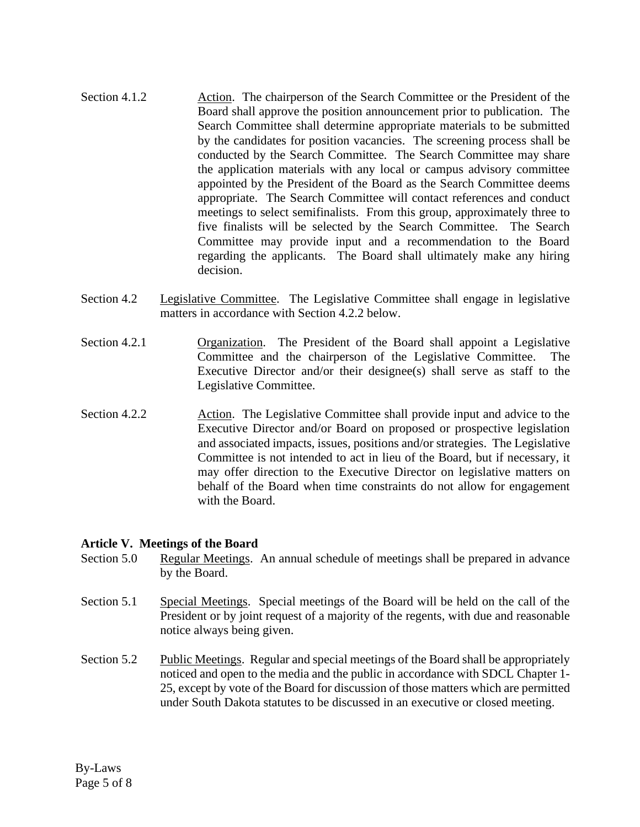- Section 4.1.2. Action. The chairperson of the Search Committee or the President of the Board shall approve the position announcement prior to publication. The Search Committee shall determine appropriate materials to be submitted by the candidates for position vacancies. The screening process shall be conducted by the Search Committee. The Search Committee may share the application materials with any local or campus advisory committee appointed by the President of the Board as the Search Committee deems appropriate. The Search Committee will contact references and conduct meetings to select semifinalists. From this group, approximately three to five finalists will be selected by the Search Committee. The Search Committee may provide input and a recommendation to the Board regarding the applicants. The Board shall ultimately make any hiring decision.
- Section 4.2 Legislative Committee. The Legislative Committee shall engage in legislative matters in accordance with Section 4.2.2 below.
- Section 4.2.1 Organization. The President of the Board shall appoint a Legislative Committee and the chairperson of the Legislative Committee. The Executive Director and/or their designee(s) shall serve as staff to the Legislative Committee.
- Section 4.2.2 Action. The Legislative Committee shall provide input and advice to the Executive Director and/or Board on proposed or prospective legislation and associated impacts, issues, positions and/or strategies. The Legislative Committee is not intended to act in lieu of the Board, but if necessary, it may offer direction to the Executive Director on legislative matters on behalf of the Board when time constraints do not allow for engagement with the Board.

#### **Article V. Meetings of the Board**

- Section 5.0 Regular Meetings. An annual schedule of meetings shall be prepared in advance by the Board.
- Section 5.1 Special Meetings. Special meetings of the Board will be held on the call of the President or by joint request of a majority of the regents, with due and reasonable notice always being given.
- Section 5.2 Public Meetings. Regular and special meetings of the Board shall be appropriately noticed and open to the media and the public in accordance with SDCL Chapter 1- 25, except by vote of the Board for discussion of those matters which are permitted under South Dakota statutes to be discussed in an executive or closed meeting.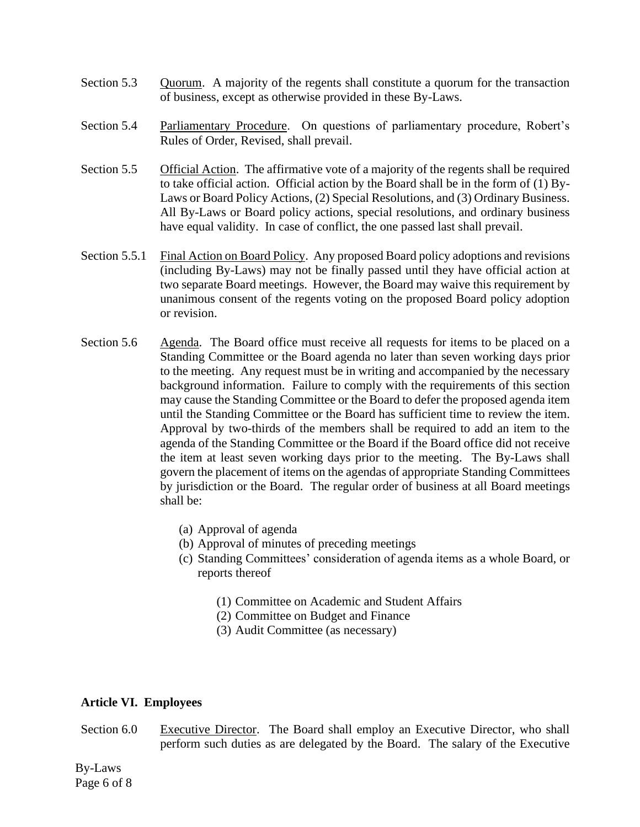- Section 5.3 Quorum. A majority of the regents shall constitute a quorum for the transaction of business, except as otherwise provided in these By-Laws.
- Section 5.4 Parliamentary Procedure. On questions of parliamentary procedure, Robert's Rules of Order, Revised, shall prevail.
- Section 5.5 Official Action. The affirmative vote of a majority of the regents shall be required to take official action. Official action by the Board shall be in the form of (1) By-Laws or Board Policy Actions, (2) Special Resolutions, and (3) Ordinary Business. All By-Laws or Board policy actions, special resolutions, and ordinary business have equal validity. In case of conflict, the one passed last shall prevail.
- Section 5.5.1 Final Action on Board Policy. Any proposed Board policy adoptions and revisions (including By-Laws) may not be finally passed until they have official action at two separate Board meetings. However, the Board may waive this requirement by unanimous consent of the regents voting on the proposed Board policy adoption or revision.
- Section 5.6 Agenda. The Board office must receive all requests for items to be placed on a Standing Committee or the Board agenda no later than seven working days prior to the meeting. Any request must be in writing and accompanied by the necessary background information. Failure to comply with the requirements of this section may cause the Standing Committee or the Board to defer the proposed agenda item until the Standing Committee or the Board has sufficient time to review the item. Approval by two-thirds of the members shall be required to add an item to the agenda of the Standing Committee or the Board if the Board office did not receive the item at least seven working days prior to the meeting. The By-Laws shall govern the placement of items on the agendas of appropriate Standing Committees by jurisdiction or the Board. The regular order of business at all Board meetings shall be:
	- (a) Approval of agenda
	- (b) Approval of minutes of preceding meetings
	- (c) Standing Committees' consideration of agenda items as a whole Board, or reports thereof
		- (1) Committee on Academic and Student Affairs
		- (2) Committee on Budget and Finance
		- (3) Audit Committee (as necessary)

#### **Article VI. Employees**

Section 6.0 Executive Director. The Board shall employ an Executive Director, who shall perform such duties as are delegated by the Board. The salary of the Executive

By-Laws Page 6 of 8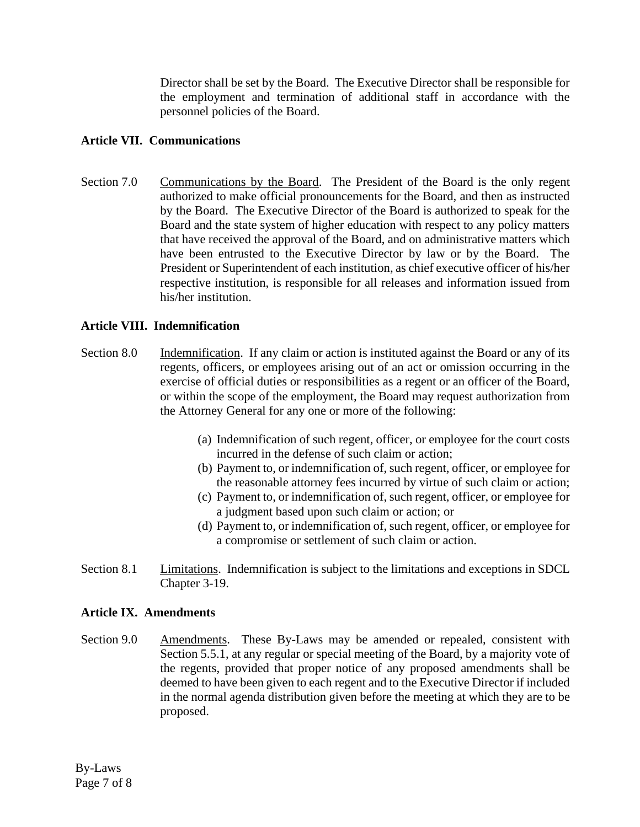Director shall be set by the Board. The Executive Director shall be responsible for the employment and termination of additional staff in accordance with the personnel policies of the Board.

## **Article VII. Communications**

Section 7.0 Communications by the Board. The President of the Board is the only regent authorized to make official pronouncements for the Board, and then as instructed by the Board. The Executive Director of the Board is authorized to speak for the Board and the state system of higher education with respect to any policy matters that have received the approval of the Board, and on administrative matters which have been entrusted to the Executive Director by law or by the Board. The President or Superintendent of each institution, as chief executive officer of his/her respective institution, is responsible for all releases and information issued from his/her institution.

## **Article VIII. Indemnification**

- Section 8.0 Indemnification. If any claim or action is instituted against the Board or any of its regents, officers, or employees arising out of an act or omission occurring in the exercise of official duties or responsibilities as a regent or an officer of the Board, or within the scope of the employment, the Board may request authorization from the Attorney General for any one or more of the following:
	- (a) Indemnification of such regent, officer, or employee for the court costs incurred in the defense of such claim or action;
	- (b) Payment to, or indemnification of, such regent, officer, or employee for the reasonable attorney fees incurred by virtue of such claim or action;
	- (c) Payment to, or indemnification of, such regent, officer, or employee for a judgment based upon such claim or action; or
	- (d) Payment to, or indemnification of, such regent, officer, or employee for a compromise or settlement of such claim or action.
- Section 8.1 Limitations. Indemnification is subject to the limitations and exceptions in SDCL Chapter 3-19.

## **Article IX. Amendments**

Section 9.0 Amendments. These By-Laws may be amended or repealed, consistent with Section 5.5.1, at any regular or special meeting of the Board, by a majority vote of the regents, provided that proper notice of any proposed amendments shall be deemed to have been given to each regent and to the Executive Director if included in the normal agenda distribution given before the meeting at which they are to be proposed.